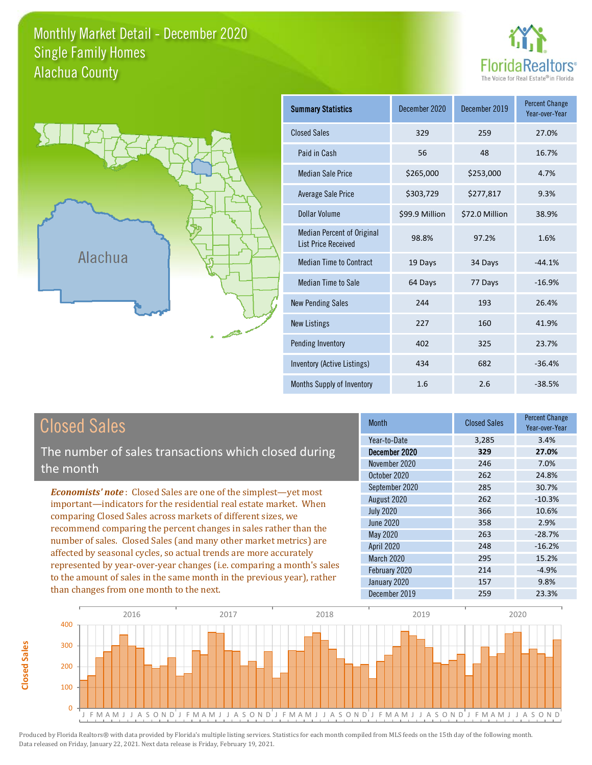# Monthly Market Detail - December 2020 Alachua County Single Family Homes





**Closed Sales**

**Closed Sales** 

| <b>Summary Statistics</b>                                       | December 2020  | December 2019  | <b>Percent Change</b><br>Year-over-Year |
|-----------------------------------------------------------------|----------------|----------------|-----------------------------------------|
| <b>Closed Sales</b>                                             | 329            | 259            | 27.0%                                   |
| Paid in Cash                                                    | 56             | 48             | 16.7%                                   |
| <b>Median Sale Price</b>                                        | \$265,000      | \$253,000      | 4.7%                                    |
| <b>Average Sale Price</b>                                       | \$303,729      | \$277,817      | 9.3%                                    |
| Dollar Volume                                                   | \$99.9 Million | \$72.0 Million | 38.9%                                   |
| <b>Median Percent of Original</b><br><b>List Price Received</b> | 98.8%          | 97.2%          | 1.6%                                    |
| <b>Median Time to Contract</b>                                  | 19 Days        | 34 Days        | $-44.1%$                                |
| <b>Median Time to Sale</b>                                      | 64 Days        | 77 Days        | $-16.9%$                                |
| <b>New Pending Sales</b>                                        | 244            | 193            | 26.4%                                   |
| <b>New Listings</b>                                             | 227            | 160            | 41.9%                                   |
| Pending Inventory                                               | 402            | 325            | 23.7%                                   |
| Inventory (Active Listings)                                     | 434            | 682            | $-36.4%$                                |
| Months Supply of Inventory                                      | 1.6            | 2.6            | $-38.5%$                                |

| <b>Closed Sales</b>                                                                                                                                                                                                                                                                                                                                                                                                                                                                                                                                                                                                      | <b>Month</b>                                                                                                                                                           | <b>Closed Sales</b>                                                | <b>Percent Change</b><br>Year-over-Year                                                         |
|--------------------------------------------------------------------------------------------------------------------------------------------------------------------------------------------------------------------------------------------------------------------------------------------------------------------------------------------------------------------------------------------------------------------------------------------------------------------------------------------------------------------------------------------------------------------------------------------------------------------------|------------------------------------------------------------------------------------------------------------------------------------------------------------------------|--------------------------------------------------------------------|-------------------------------------------------------------------------------------------------|
| The number of sales transactions which closed during<br>the month                                                                                                                                                                                                                                                                                                                                                                                                                                                                                                                                                        | Year-to-Date<br>December 2020<br>November 2020<br>October 2020                                                                                                         | 3,285<br>329<br>246<br>262                                         | 3.4%<br>27.0%<br>7.0%<br>24.8%                                                                  |
| <b>Economists' note:</b> Closed Sales are one of the simplest—yet most<br>important—indicators for the residential real estate market. When<br>comparing Closed Sales across markets of different sizes, we<br>recommend comparing the percent changes in sales rather than the<br>number of sales. Closed Sales (and many other market metrics) are<br>affected by seasonal cycles, so actual trends are more accurately<br>represented by year-over-year changes (i.e. comparing a month's sales<br>to the amount of sales in the same month in the previous year), rather<br>than changes from one month to the next. | September 2020<br>August 2020<br><b>July 2020</b><br>June 2020<br>May 2020<br><b>April 2020</b><br><b>March 2020</b><br>February 2020<br>January 2020<br>December 2019 | 285<br>262<br>366<br>358<br>263<br>248<br>295<br>214<br>157<br>259 | 30.7%<br>$-10.3%$<br>10.6%<br>2.9%<br>$-28.7%$<br>$-16.2%$<br>15.2%<br>$-4.9%$<br>9.8%<br>23.3% |

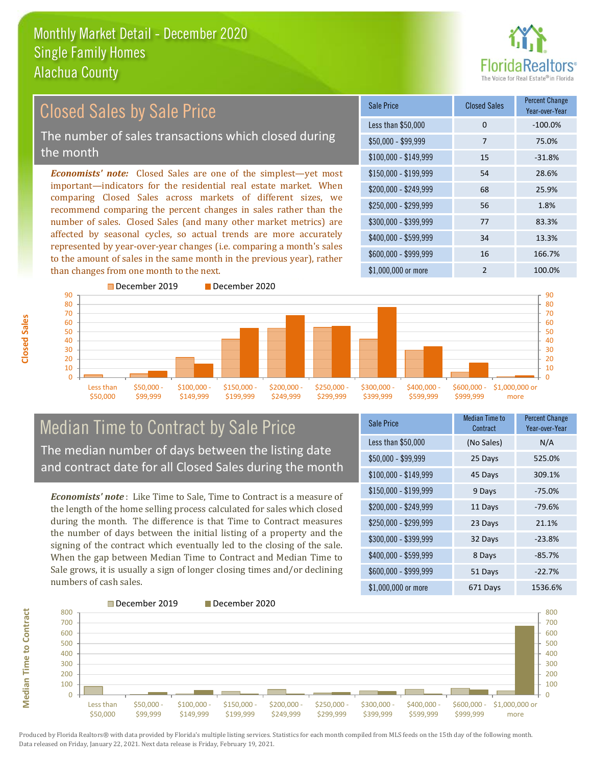

#### *Economists' note:* Closed Sales are one of the simplest—yet most important—indicators for the residential real estate market. When comparing Closed Sales across markets of different sizes, we recommend comparing the percent changes in sales rather than the number of sales. Closed Sales (and many other market metrics) are affected by seasonal cycles, so actual trends are more accurately represented by year-over-year changes (i.e. comparing a month's sales to the amount of sales in the same month in the previous year), rather than changes from one month to the next. \$1,000,000 or more 2 100.0% \$250,000 - \$299,999 56 1.8% \$300,000 - \$399,999 77 83.3% \$400,000 - \$599,999 34 13.3% \$600,000 - \$999,999 16 166.7% \$150,000 - \$199,999 54 28.6% \$200,000 - \$249,999 68 25.9% \$100,000 - \$149,999 15 -31.8% Sale Price Closed Sales Percent Change Year-over-Year Less than \$50,000 0 0 -100.0% \$50,000 - \$99,999 7 75.0% December 2019 December 2020 90 Closed Sales by Sale Price The number of sales transactions which closed during the month



# Median Time to Contract by Sale Price The median number of days between the listing date and contract date for all Closed Sales during the month

*Economists' note* : Like Time to Sale, Time to Contract is a measure of the length of the home selling process calculated for sales which closed during the month. The difference is that Time to Contract measures the number of days between the initial listing of a property and the signing of the contract which eventually led to the closing of the sale. When the gap between Median Time to Contract and Median Time to Sale grows, it is usually a sign of longer closing times and/or declining numbers of cash sales.

| <b>Sale Price</b>     | <b>Median Time to</b><br>Contract | <b>Percent Change</b><br>Year-over-Year |
|-----------------------|-----------------------------------|-----------------------------------------|
| Less than \$50,000    | (No Sales)                        | N/A                                     |
| \$50,000 - \$99,999   | 25 Days                           | 525.0%                                  |
| $$100,000 - $149,999$ | 45 Days                           | 309.1%                                  |
| $$150,000 - $199,999$ | 9 Days                            | $-75.0%$                                |
| \$200,000 - \$249,999 | 11 Days                           | $-79.6%$                                |
| \$250,000 - \$299,999 | 23 Days                           | 21.1%                                   |
| \$300,000 - \$399,999 | 32 Days                           | $-23.8%$                                |
| \$400,000 - \$599,999 | 8 Days                            | $-85.7%$                                |
| \$600,000 - \$999,999 | 51 Days                           | $-22.7%$                                |
| $$1,000,000$ or more  | 671 Days                          | 1536.6%                                 |



**Closed Sales**

**Median Time to Contract Median Time to Contract**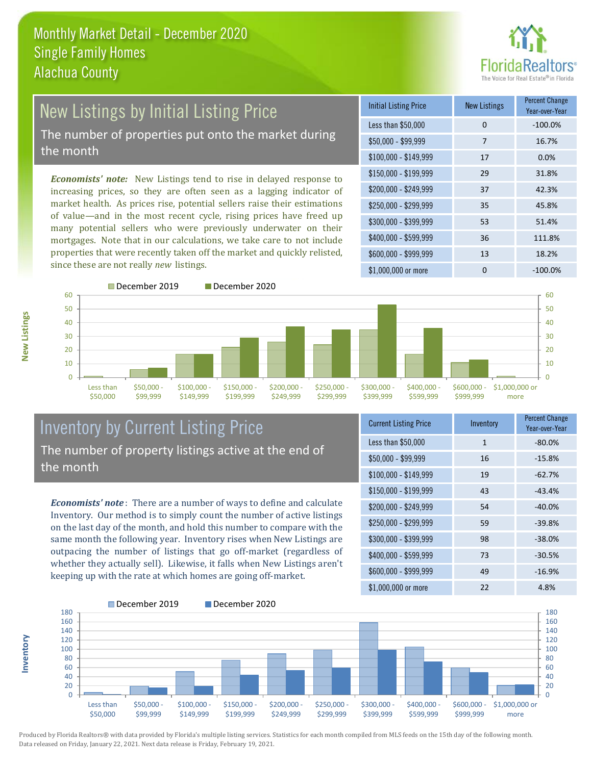

#### New Listings by Initial Listing Price The number of properties put onto the market during the month

*Economists' note:* New Listings tend to rise in delayed response to increasing prices, so they are often seen as a lagging indicator of market health. As prices rise, potential sellers raise their estimations of value—and in the most recent cycle, rising prices have freed up many potential sellers who were previously underwater on their mortgages. Note that in our calculations, we take care to not include properties that were recently taken off the market and quickly relisted, since these are not really *new* listings.

| <b>Initial Listing Price</b> | <b>New Listings</b> | <b>Percent Change</b><br>Year-over-Year |
|------------------------------|---------------------|-----------------------------------------|
| Less than \$50,000           | 0                   | $-100.0%$                               |
| \$50,000 - \$99,999          | 7                   | 16.7%                                   |
| $$100,000 - $149,999$        | 17                  | 0.0%                                    |
| $$150,000 - $199,999$        | 29                  | 31.8%                                   |
| \$200,000 - \$249,999        | 37                  | 42.3%                                   |
| \$250,000 - \$299,999        | 35                  | 45.8%                                   |
| \$300,000 - \$399,999        | 53                  | 51.4%                                   |
| \$400,000 - \$599,999        | 36                  | 111.8%                                  |
| \$600,000 - \$999,999        | 13                  | 18.2%                                   |
| \$1,000,000 or more          | ი                   | $-100.0\%$                              |



December 2019 December 2020



# Inventory by Current Listing Price The number of property listings active at the end of the month

*Economists' note* : There are a number of ways to define and calculate Inventory. Our method is to simply count the number of active listings on the last day of the month, and hold this number to compare with the same month the following year. Inventory rises when New Listings are outpacing the number of listings that go off-market (regardless of whether they actually sell). Likewise, it falls when New Listings aren't keeping up with the rate at which homes are going off-market.

| <b>Current Listing Price</b> | Inventory    | <b>Percent Change</b><br>Year-over-Year |
|------------------------------|--------------|-----------------------------------------|
| Less than \$50,000           | $\mathbf{1}$ | $-80.0%$                                |
| $$50,000 - $99,999$          | 16           | $-15.8%$                                |
| $$100,000 - $149,999$        | 19           | $-62.7%$                                |
| $$150,000 - $199,999$        | 43           | $-43.4%$                                |
| \$200,000 - \$249,999        | 54           | $-40.0%$                                |
| \$250,000 - \$299,999        | 59           | $-39.8%$                                |
| \$300,000 - \$399,999        | 98           | $-38.0%$                                |
| \$400,000 - \$599,999        | 73           | $-30.5%$                                |
| \$600,000 - \$999,999        | 49           | $-16.9%$                                |
| \$1,000,000 or more          | 22           | 4.8%                                    |



Produced by Florida Realtors® with data provided by Florida's multiple listing services. Statistics for each month compiled from MLS feeds on the 15th day of the following month. Data released on Friday, January 22, 2021. Next data release is Friday, February 19, 2021.

**Inventory**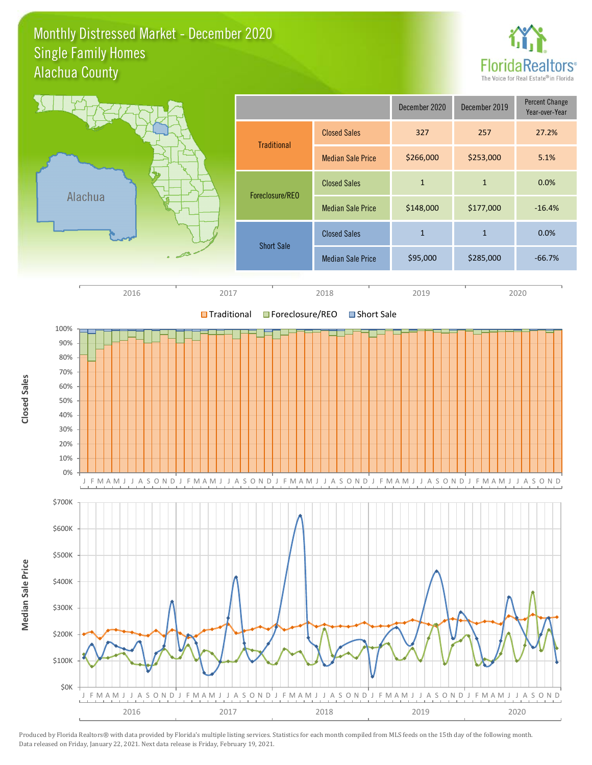#### Monthly Distressed Market - December 2020 Alachua County Single Family Homes



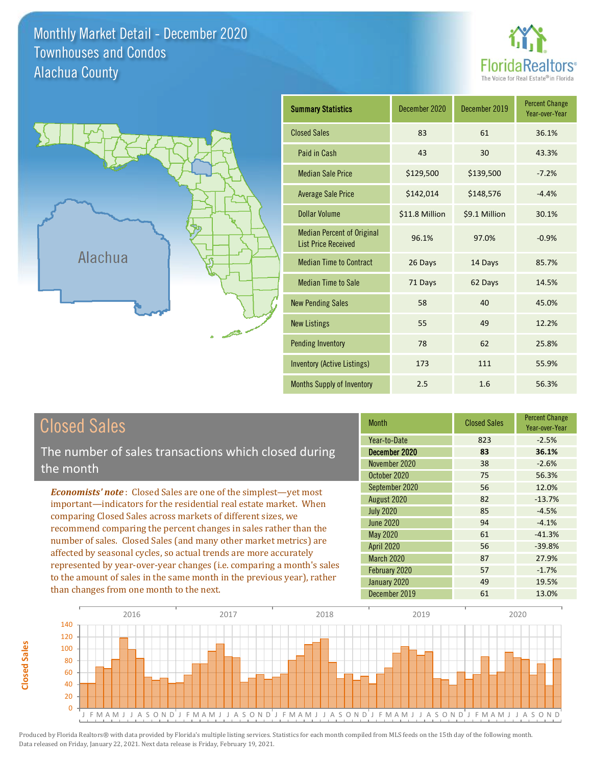Monthly Market Detail - December 2020 Alachua County Townhouses and Condos





| <b>Summary Statistics</b>                                       | December 2020  | December 2019 | <b>Percent Change</b><br>Year-over-Year |
|-----------------------------------------------------------------|----------------|---------------|-----------------------------------------|
| <b>Closed Sales</b>                                             | 83             | 61            | 36.1%                                   |
| Paid in Cash                                                    | 43             | 30            | 43.3%                                   |
| <b>Median Sale Price</b>                                        | \$129,500      | \$139,500     | $-7.2%$                                 |
| <b>Average Sale Price</b>                                       | \$142,014      | \$148,576     | $-4.4%$                                 |
| Dollar Volume                                                   | \$11.8 Million | \$9.1 Million | 30.1%                                   |
| <b>Median Percent of Original</b><br><b>List Price Received</b> | 96.1%          | 97.0%         | $-0.9%$                                 |
| <b>Median Time to Contract</b>                                  | 26 Days        | 14 Days       | 85.7%                                   |
| <b>Median Time to Sale</b>                                      | 71 Days        | 62 Days       | 14.5%                                   |
| <b>New Pending Sales</b>                                        | 58             | 40            | 45.0%                                   |
| <b>New Listings</b>                                             | 55             | 49            | 12.2%                                   |
| <b>Pending Inventory</b>                                        | 78             | 62            | 25.8%                                   |
| <b>Inventory (Active Listings)</b>                              | 173            | 111           | 55.9%                                   |
| Months Supply of Inventory                                      | 2.5            | 1.6           | 56.3%                                   |

**Closed Sales**

**Closed Sales** 

The number of sales transactions which closed during the month

*Economists' note* : Closed Sales are one of the simplest—yet most important—indicators for the residential real estate market. When comparing Closed Sales across markets of different sizes, we recommend comparing the percent changes in sales rather than the number of sales. Closed Sales (and many other market metrics) are affected by seasonal cycles, so actual trends are more accurately represented by year-over-year changes (i.e. comparing a month's sales to the amount of sales in the same month in the previous year), rather than changes from one month to the next.

| <b>Month</b>      | <b>Closed Sales</b> | <b>Percent Change</b><br>Year-over-Year |
|-------------------|---------------------|-----------------------------------------|
| Year-to-Date      | 823                 | $-2.5%$                                 |
| December 2020     | 83                  | 36.1%                                   |
| November 2020     | 38                  | $-2.6%$                                 |
| October 2020      | 75                  | 56.3%                                   |
| September 2020    | 56                  | 12.0%                                   |
| August 2020       | 82                  | $-13.7%$                                |
| <b>July 2020</b>  | 85                  | $-4.5%$                                 |
| <b>June 2020</b>  | 94                  | $-4.1%$                                 |
| <b>May 2020</b>   | 61                  | $-41.3%$                                |
| <b>April 2020</b> | 56                  | $-39.8%$                                |
| <b>March 2020</b> | 87                  | 27.9%                                   |
| February 2020     | 57                  | $-1.7%$                                 |
| January 2020      | 49                  | 19.5%                                   |
| December 2019     | 61                  | 13.0%                                   |

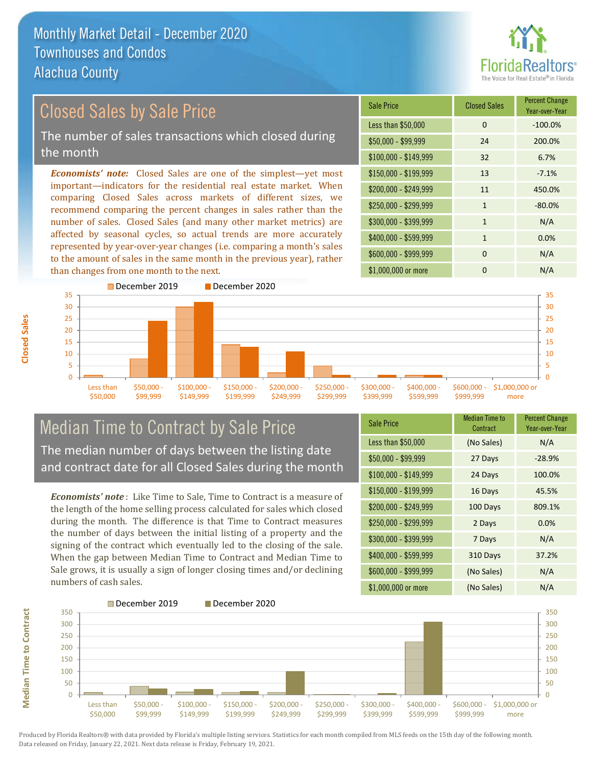than changes from one month to the next.



#### *Economists' note:* Closed Sales are one of the simplest—yet most important—indicators for the residential real estate market. When comparing Closed Sales across markets of different sizes, we recommend comparing the percent changes in sales rather than the number of sales. Closed Sales (and many other market metrics) are affected by seasonal cycles, so actual trends are more accurately represented by year-over-year changes (i.e. comparing a month's sales  $$250.000 - $299.999$  1 -80.0%  $$300,000 - $399,999$  1 N/A \$400,000 - \$599,999 1 0.0% \$600,000 - \$999,999 0 0 N/A \$150,000 - \$199,999 13 -7.1% \$200,000 - \$249,999 11 450.0% \$100,000 - \$149,999 32 6.7% Sale Price Closed Sales Percent Change Year-over-Year Less than \$50,000 0 0 -100.0% \$50,000 - \$99,999 24 200.0% Closed Sales by Sale Price The number of sales transactions which closed during the month



# Median Time to Contract by Sale Price The median number of days between the listing date and contract date for all Closed Sales during the month

to the amount of sales in the same month in the previous year), rather

*Economists' note* : Like Time to Sale, Time to Contract is a measure of the length of the home selling process calculated for sales which closed during the month. The difference is that Time to Contract measures the number of days between the initial listing of a property and the signing of the contract which eventually led to the closing of the sale. When the gap between Median Time to Contract and Median Time to Sale grows, it is usually a sign of longer closing times and/or declining numbers of cash sales.

| <b>Sale Price</b>     | <b>Median Time to</b><br>Contract | <b>Percent Change</b><br>Year-over-Year |
|-----------------------|-----------------------------------|-----------------------------------------|
| Less than \$50,000    | (No Sales)                        | N/A                                     |
| $$50,000 - $99,999$   | 27 Days                           | $-28.9%$                                |
| $$100,000 - $149,999$ | 24 Days                           | 100.0%                                  |
| $$150,000 - $199,999$ | 16 Days                           | 45.5%                                   |
| \$200,000 - \$249,999 | 100 Days                          | 809.1%                                  |
| \$250,000 - \$299,999 | 2 Days                            | 0.0%                                    |
| \$300,000 - \$399,999 | 7 Days                            | N/A                                     |
| $$400,000 - $599,999$ | 310 Days                          | 37.2%                                   |
| \$600,000 - \$999,999 | (No Sales)                        | N/A                                     |
| \$1,000,000 or more   | (No Sales)                        | N/A                                     |

\$1,000,000 or more 0 0 N/A

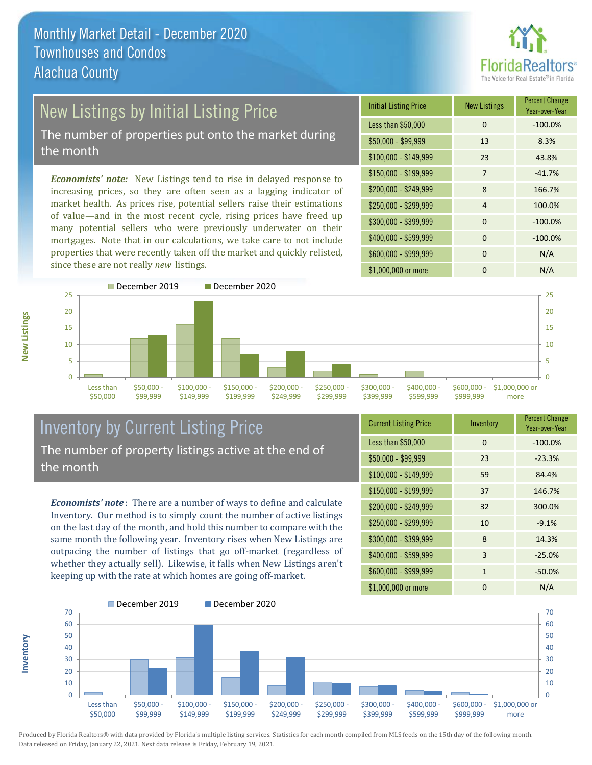

# **New Listings by Initial Listing Price**

The number of properties put onto the market during the month

*Economists' note:* New Listings tend to rise in delayed response to increasing prices, so they are often seen as a lagging indicator of market health. As prices rise, potential sellers raise their estimations of value—and in the most recent cycle, rising prices have freed up many potential sellers who were previously underwater on their mortgages. Note that in our calculations, we take care to not include properties that were recently taken off the market and quickly relisted, since these are not really *new* listings.

| <b>Initial Listing Price</b> | <b>New Listings</b> | <b>Percent Change</b><br>Year-over-Year |
|------------------------------|---------------------|-----------------------------------------|
| Less than \$50,000           | $\Omega$            | $-100.0%$                               |
| $$50,000 - $99,999$          | 13                  | 8.3%                                    |
| $$100,000 - $149,999$        | 23                  | 43.8%                                   |
| $$150,000 - $199,999$        | 7                   | $-41.7%$                                |
| \$200,000 - \$249,999        | 8                   | 166.7%                                  |
| \$250,000 - \$299,999        | $\overline{4}$      | 100.0%                                  |
| \$300,000 - \$399,999        | $\Omega$            | $-100.0%$                               |
| \$400,000 - \$599,999        | $\Omega$            | $-100.0%$                               |
| \$600,000 - \$999,999        | $\Omega$            | N/A                                     |
| \$1,000,000 or more          | n                   | N/A                                     |



# Inventory by Current Listing Price The number of property listings active at the end of the month

*Economists' note* : There are a number of ways to define and calculate Inventory. Our method is to simply count the number of active listings on the last day of the month, and hold this number to compare with the same month the following year. Inventory rises when New Listings are outpacing the number of listings that go off-market (regardless of whether they actually sell). Likewise, it falls when New Listings aren't keeping up with the rate at which homes are going off-market.

| <b>Current Listing Price</b> | Inventory    | <b>Percent Change</b><br>Year-over-Year |
|------------------------------|--------------|-----------------------------------------|
| Less than \$50,000           | $\Omega$     | $-100.0%$                               |
| $$50,000 - $99,999$          | 23           | $-23.3%$                                |
| $$100,000 - $149,999$        | 59           | 84.4%                                   |
| $$150,000 - $199,999$        | 37           | 146.7%                                  |
| \$200,000 - \$249,999        | 32           | 300.0%                                  |
| \$250,000 - \$299,999        | 10           | $-9.1%$                                 |
| \$300,000 - \$399,999        | 8            | 14.3%                                   |
| \$400,000 - \$599,999        | 3            | $-25.0%$                                |
| \$600,000 - \$999,999        | $\mathbf{1}$ | $-50.0%$                                |
| \$1,000,000 or more          | O            | N/A                                     |



Produced by Florida Realtors® with data provided by Florida's multiple listing services. Statistics for each month compiled from MLS feeds on the 15th day of the following month. Data released on Friday, January 22, 2021. Next data release is Friday, February 19, 2021.

**Inventory**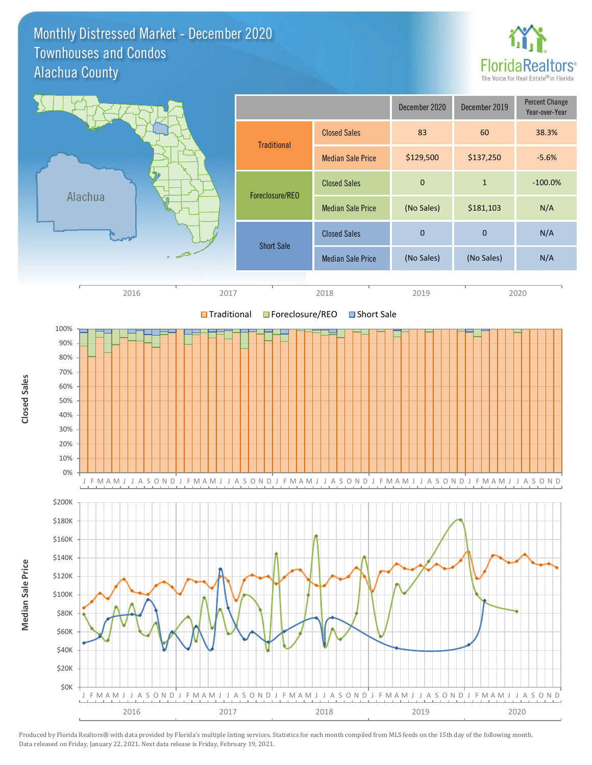#### Monthly Distressed Market - December 2020 Alachua County Townhouses and Condos



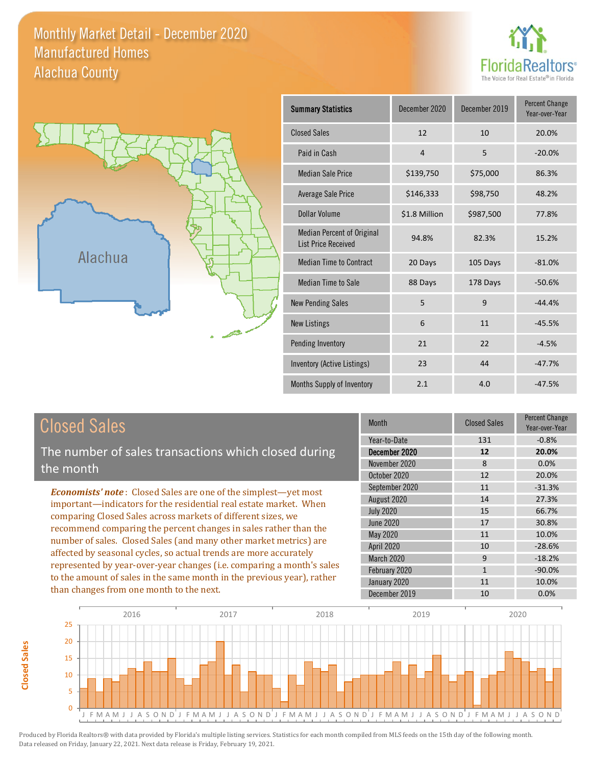### Monthly Market Detail - December 2020 Alachua County Manufactured Homes





**Closed Sales**

**Closed Sales** 

| <b>Summary Statistics</b>                                       | December 2020 | December 2019 | <b>Percent Change</b><br>Year-over-Year |
|-----------------------------------------------------------------|---------------|---------------|-----------------------------------------|
| <b>Closed Sales</b>                                             | 12            | 10            | 20.0%                                   |
| Paid in Cash                                                    | 4             | 5             | $-20.0%$                                |
| <b>Median Sale Price</b>                                        | \$139,750     | \$75,000      | 86.3%                                   |
| <b>Average Sale Price</b>                                       | \$146,333     | \$98,750      | 48.2%                                   |
| Dollar Volume                                                   | \$1.8 Million | \$987,500     | 77.8%                                   |
| <b>Median Percent of Original</b><br><b>List Price Received</b> | 94.8%         | 82.3%         | 15.2%                                   |
| <b>Median Time to Contract</b>                                  | 20 Days       | 105 Days      | $-81.0%$                                |
| <b>Median Time to Sale</b>                                      | 88 Days       | 178 Days      | $-50.6%$                                |
| <b>New Pending Sales</b>                                        | 5             | 9             | $-44.4%$                                |
| <b>New Listings</b>                                             | 6             | 11            | $-45.5%$                                |
| Pending Inventory                                               | 21            | 22            | $-4.5%$                                 |
| Inventory (Active Listings)                                     | 23            | 44            | $-47.7%$                                |
| Months Supply of Inventory                                      | 2.1           | 4.0           | $-47.5%$                                |

| <b>Closed Sales</b>                                                                                                                                                                                                                                                                                                                                                                                                                                                                                                                                                                                                      | <b>Month</b>                                                                                                                                          | <b>Closed Sales</b>                                         | <b>Percent Change</b><br>Year-over-Year                                                    |
|--------------------------------------------------------------------------------------------------------------------------------------------------------------------------------------------------------------------------------------------------------------------------------------------------------------------------------------------------------------------------------------------------------------------------------------------------------------------------------------------------------------------------------------------------------------------------------------------------------------------------|-------------------------------------------------------------------------------------------------------------------------------------------------------|-------------------------------------------------------------|--------------------------------------------------------------------------------------------|
| The number of sales transactions which closed during<br>the month                                                                                                                                                                                                                                                                                                                                                                                                                                                                                                                                                        | Year-to-Date<br>December 2020<br>November 2020<br>October 2020                                                                                        | 131<br>12<br>8<br>12                                        | $-0.8%$<br>20.0%<br>0.0%<br>20.0%                                                          |
| <b>Economists' note:</b> Closed Sales are one of the simplest—yet most<br>important—indicators for the residential real estate market. When<br>comparing Closed Sales across markets of different sizes, we<br>recommend comparing the percent changes in sales rather than the<br>number of sales. Closed Sales (and many other market metrics) are<br>affected by seasonal cycles, so actual trends are more accurately<br>represented by year-over-year changes (i.e. comparing a month's sales<br>to the amount of sales in the same month in the previous year), rather<br>than changes from one month to the next. | September 2020<br>August 2020<br><b>July 2020</b><br>June 2020<br>May 2020<br><b>April 2020</b><br><b>March 2020</b><br>February 2020<br>January 2020 | 11<br>14<br>15<br>17<br>11<br>10<br>9<br>$\mathbf{1}$<br>11 | $-31.3%$<br>27.3%<br>66.7%<br>30.8%<br>10.0%<br>$-28.6%$<br>$-18.2%$<br>$-90.0\%$<br>10.0% |
|                                                                                                                                                                                                                                                                                                                                                                                                                                                                                                                                                                                                                          | December 2019                                                                                                                                         | 10                                                          | 0.0%                                                                                       |

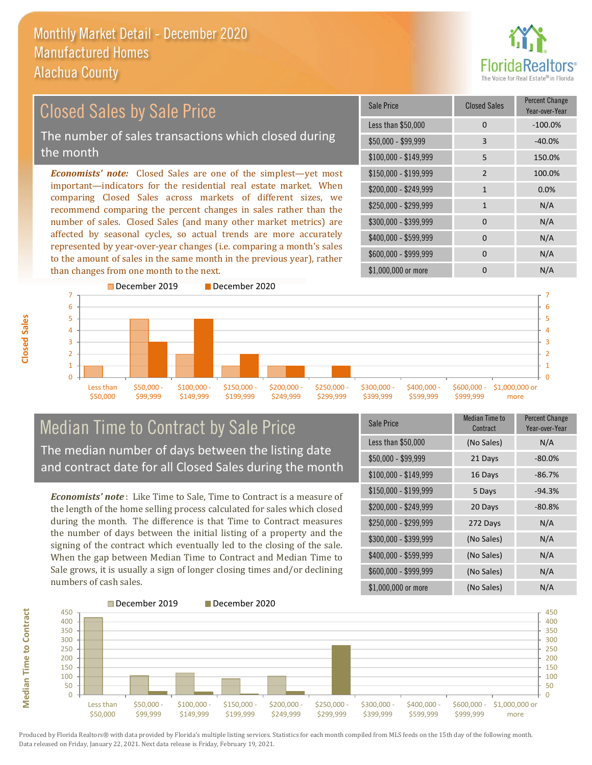

#### *Economists' note:* Closed Sales are one of the simplest—yet most important—indicators for the residential real estate market. When comparing Closed Sales across markets of different sizes, we recommend comparing the percent changes in sales rather than the number of sales. Closed Sales (and many other market metrics) are affected by seasonal cycles, so actual trends are more accurately represented by year-over-year changes (i.e. comparing a month's sales to the amount of sales in the same month in the previous year), rather than changes from one month to the next. \$1,000,000 or more 0 0 N/A  $$250,000 - $299,999$  1 N/A \$300,000 - \$399,999 0 0 N/A  $$400,000 - $599,999$  0 N/A \$600,000 - \$999,999 0 0 N/A \$150,000 - \$199,999 2 100.0% \$200,000 - \$249,999 1 0.0% \$100,000 - \$149,999 5 150.0% Sale Price Closed Sales Percent Change Year-over-Year Less than \$50,000 0 0 -100.0% \$50,000 - \$99,999 3 -40.0% Closed Sales by Sale Price The number of sales transactions which closed during the month



# Median Time to Contract by Sale Price The median number of days between the listing date and contract date for all Closed Sales during the month

*Economists' note* : Like Time to Sale, Time to Contract is a measure of the length of the home selling process calculated for sales which closed during the month. The difference is that Time to Contract measures the number of days between the initial listing of a property and the signing of the contract which eventually led to the closing of the sale. When the gap between Median Time to Contract and Median Time to Sale grows, it is usually a sign of longer closing times and/or declining numbers of cash sales.

| Sale Price            | Median Time to<br>Contract | <b>Percent Change</b><br>Year-over-Year |
|-----------------------|----------------------------|-----------------------------------------|
| Less than \$50,000    | (No Sales)                 | N/A                                     |
| \$50,000 - \$99,999   | 21 Days                    | $-80.0\%$                               |
| $$100,000 - $149,999$ | 16 Days                    | $-86.7%$                                |
| $$150,000 - $199,999$ | 5 Days                     | $-94.3%$                                |
| \$200,000 - \$249,999 | 20 Days                    | $-80.8%$                                |
| \$250,000 - \$299,999 | 272 Days                   | N/A                                     |
| \$300,000 - \$399,999 | (No Sales)                 | N/A                                     |
| \$400,000 - \$599,999 | (No Sales)                 | N/A                                     |
| \$600,000 - \$999,999 | (No Sales)                 | N/A                                     |
| \$1,000,000 or more   | (No Sales)                 | N/A                                     |



**Closed Sales**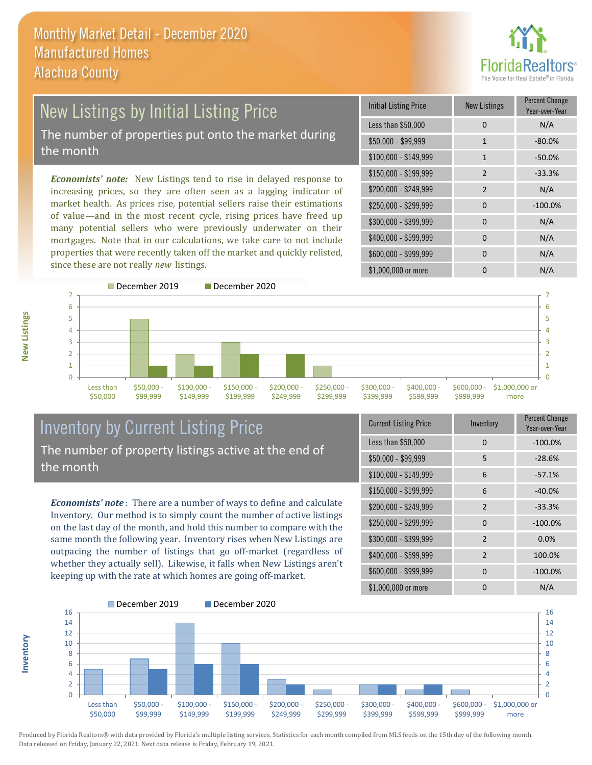

# New Listings by Initial Listing Price The number of properties put onto the market during the month

*Economists' note:* New Listings tend to rise in delayed response to increasing prices, so they are often seen as a lagging indicator of market health. As prices rise, potential sellers raise their estimations of value—and in the most recent cycle, rising prices have freed up many potential sellers who were previously underwater on their mortgages. Note that in our calculations, we take care to not include properties that were recently taken off the market and quickly relisted, since these are not really *new* listings.

| <b>Initial Listing Price</b> | <b>New Listings</b> | <b>Percent Change</b><br>Year-over-Year |
|------------------------------|---------------------|-----------------------------------------|
| Less than \$50,000           | 0                   | N/A                                     |
| $$50,000 - $99,999$          | 1                   | $-80.0%$                                |
| $$100,000 - $149,999$        | 1                   | $-50.0%$                                |
| $$150,000 - $199,999$        | $\overline{2}$      | $-33.3%$                                |
| \$200,000 - \$249,999        | $\mathcal{P}$       | N/A                                     |
| \$250,000 - \$299,999        | $\Omega$            | $-100.0%$                               |
| \$300,000 - \$399,999        | 0                   | N/A                                     |
| \$400,000 - \$599,999        | $\Omega$            | N/A                                     |
| \$600,000 - \$999,999        | $\Omega$            | N/A                                     |
| \$1,000,000 or more          |                     | N/A                                     |



### Inventory by Current Listing Price The number of property listings active at the end of the month

*Economists' note* : There are a number of ways to define and calculate Inventory. Our method is to simply count the number of active listings on the last day of the month, and hold this number to compare with the same month the following year. Inventory rises when New Listings are outpacing the number of listings that go off-market (regardless of whether they actually sell). Likewise, it falls when New Listings aren't keeping up with the rate at which homes are going off-market.

| <b>Current Listing Price</b> | Inventory      | Percent Change<br>Year-over-Year |
|------------------------------|----------------|----------------------------------|
| Less than \$50,000           | 0              | $-100.0%$                        |
| $$50,000 - $99,999$          | 5              | $-28.6%$                         |
| $$100,000 - $149,999$        | 6              | $-57.1%$                         |
| \$150,000 - \$199,999        | 6              | $-40.0%$                         |
| \$200,000 - \$249,999        | $\mathcal{P}$  | $-33.3%$                         |
| \$250,000 - \$299,999        | $\Omega$       | $-100.0%$                        |
| \$300,000 - \$399,999        | 2              | 0.0%                             |
| \$400,000 - \$599,999        | $\overline{2}$ | 100.0%                           |
| \$600,000 - \$999,999        | <sup>0</sup>   | $-100.0%$                        |
| \$1,000,000 or more          | ŋ              | N/A                              |



Produced by Florida Realtors® with data provided by Florida's multiple listing services. Statistics for each month compiled from MLS feeds on the 15th day of the following month. Data released on Friday, January 22, 2021. Next data release is Friday, February 19, 2021.

**Inventory**